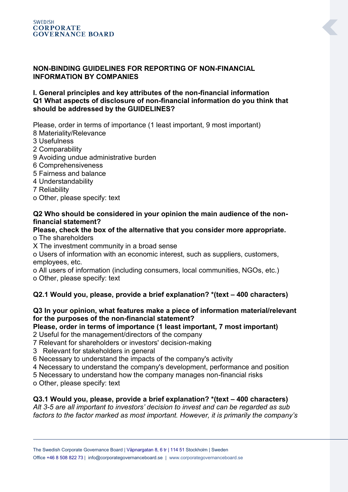### **NON-BINDING GUIDELINES FOR REPORTING OF NON-FINANCIAL INFORMATION BY COMPANIES**

### **I. General principles and key attributes of the non-financial information Q1 What aspects of disclosure of non-financial information do you think that should be addressed by the GUIDELINES?**

Please, order in terms of importance (1 least important, 9 most important)

- 8 Materiality/Relevance
- 3 Usefulness
- 2 Comparability
- 9 Avoiding undue administrative burden
- 6 Comprehensiveness
- 5 Fairness and balance
- 4 Understandability
- 7 Reliability
- o Other, please specify: text

### **Q2 Who should be considered in your opinion the main audience of the nonfinancial statement?**

## **Please, check the box of the alternative that you consider more appropriate.**

- o The shareholders
- X The investment community in a broad sense

o Users of information with an economic interest, such as suppliers, customers, employees, etc.

o All users of information (including consumers, local communities, NGOs, etc.) o Other, please specify: text

# **Q2.1 Would you, please, provide a brief explanation? \*(text – 400 characters)**

### **Q3 In your opinion, what features make a piece of information material/relevant for the purposes of the non-financial statement?**

**Please, order in terms of importance (1 least important, 7 most important)**

- 2 Useful for the management/directors of the company
- 7 Relevant for shareholders or investors' decision-making
- 3 Relevant for stakeholders in general

6 Necessary to understand the impacts of the company's activity

- 4 Necessary to understand the company's development, performance and position
- 5 Necessary to understand how the company manages non-financial risks
- o Other, please specify: text

## **Q3.1 Would you, please, provide a brief explanation? \*(text – 400 characters)**

*Alt 3-5 are all important to investors' decision to invest and can be regarded as sub factors to the factor marked as most important. However, it is primarily the company's*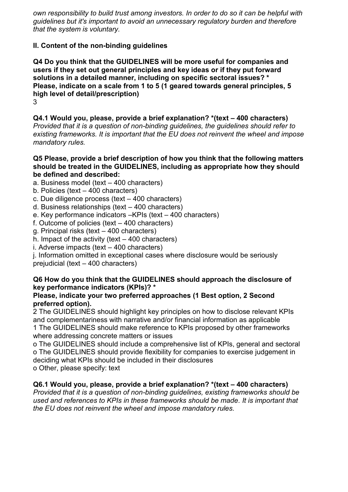*own responsibility to build trust among investors. In order to do so it can be helpful with guidelines but it's important to avoid an unnecessary regulatory burden and therefore that the system is voluntary.* 

## **II. Content of the non-binding guidelines**

**Q4 Do you think that the GUIDELINES will be more useful for companies and users if they set out general principles and key ideas or if they put forward solutions in a detailed manner, including on specific sectoral issues? \* Please, indicate on a scale from 1 to 5 (1 geared towards general principles, 5 high level of detail/prescription)** 3

**Q4.1 Would you, please, provide a brief explanation? \*(text – 400 characters)** *Provided that it is a question of non-binding guidelines, the guidelines should refer to existing frameworks. It is important that the EU does not reinvent the wheel and impose mandatory rules.*

### **Q5 Please, provide a brief description of how you think that the following matters should be treated in the GUIDELINES, including as appropriate how they should be defined and described:**

a. Business model (text – 400 characters)

- b. Policies (text 400 characters)
- c. Due diligence process (text 400 characters)
- d. Business relationships (text 400 characters)
- e. Key performance indicators –KPIs (text 400 characters)
- f. Outcome of policies (text 400 characters)
- g. Principal risks (text 400 characters)
- h. Impact of the activity (text  $-$  400 characters)
- i. Adverse impacts (text 400 characters)

j. Information omitted in exceptional cases where disclosure would be seriously prejudicial (text – 400 characters)

## **Q6 How do you think that the GUIDELINES should approach the disclosure of key performance indicators (KPIs)? \***

### **Please, indicate your two preferred approaches (1 Best option, 2 Second preferred option).**

2 The GUIDELINES should highlight key principles on how to disclose relevant KPIs and complementariness with narrative and/or financial information as applicable 1 The GUIDELINES should make reference to KPIs proposed by other frameworks where addressing concrete matters or issues

o The GUIDELINES should include a comprehensive list of KPIs, general and sectoral o The GUIDELINES should provide flexibility for companies to exercise judgement in deciding what KPIs should be included in their disclosures o Other, please specify: text

**Q6.1 Would you, please, provide a brief explanation? \*(text – 400 characters)** 

*Provided that it is a question of non-binding guidelines, existing frameworks should be used and references to KPIs in these frameworks should be made. It is important that the EU does not reinvent the wheel and impose mandatory rules.*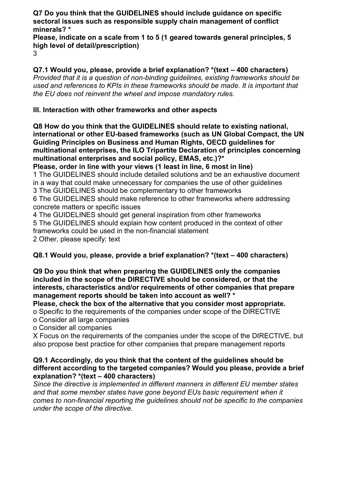**Q7 Do you think that the GUIDELINES should include guidance on specific sectoral issues such as responsible supply chain management of conflict minerals? \***

**Please, indicate on a scale from 1 to 5 (1 geared towards general principles, 5 high level of detail/prescription)**

3

**Q7.1 Would you, please, provide a brief explanation? \*(text – 400 characters)** *Provided that it is a question of non-binding guidelines, existing frameworks should be used and references to KPIs in these frameworks should be made. It is important that the EU does not reinvent the wheel and impose mandatory rules.*

# **III. Interaction with other frameworks and other aspects**

**Q8 How do you think that the GUIDELINES should relate to existing national, international or other EU-based frameworks (such as UN Global Compact, the UN Guiding Principles on Business and Human Rights, OECD guidelines for multinational enterprises, the ILO Tripartite Declaration of principles concerning multinational enterprises and social policy, EMAS, etc.)?\***

**Please, order in line with your views (1 least in line, 6 most in line)**

1 The GUIDELINES should include detailed solutions and be an exhaustive document in a way that could make unnecessary for companies the use of other guidelines

3 The GUIDELINES should be complementary to other frameworks

6 The GUIDELINES should make reference to other frameworks where addressing concrete matters or specific issues

4 The GUIDELINES should get general inspiration from other frameworks 5 The GUIDELINES should explain how content produced in the context of other frameworks could be used in the non-financial statement 2 Other, please specify: text

# **Q8.1 Would you, please, provide a brief explanation? \*(text – 400 characters)**

**Q9 Do you think that when preparing the GUIDELINES only the companies included in the scope of the DIRECTIVE should be considered, or that the interests, characteristics and/or requirements of other companies that prepare management reports should be taken into account as well? \***

**Please, check the box of the alternative that you consider most appropriate.**

o Specific to the requirements of the companies under scope of the DIRECTIVE o Consider all large companies

o Consider all companies

X Focus on the requirements of the companies under the scope of the DIRECTIVE, but also propose best practice for other companies that prepare management reports

### **Q9.1 Accordingly, do you think that the content of the guidelines should be different according to the targeted companies? Would you please, provide a brief explanation? \*(text – 400 characters)**

*Since the directive is implemented in different manners in different EU member states and that some member states have gone beyond EUs basic requirement when it comes to non-financial reporting the guidelines should not be specific to the companies under the scope of the directive.*